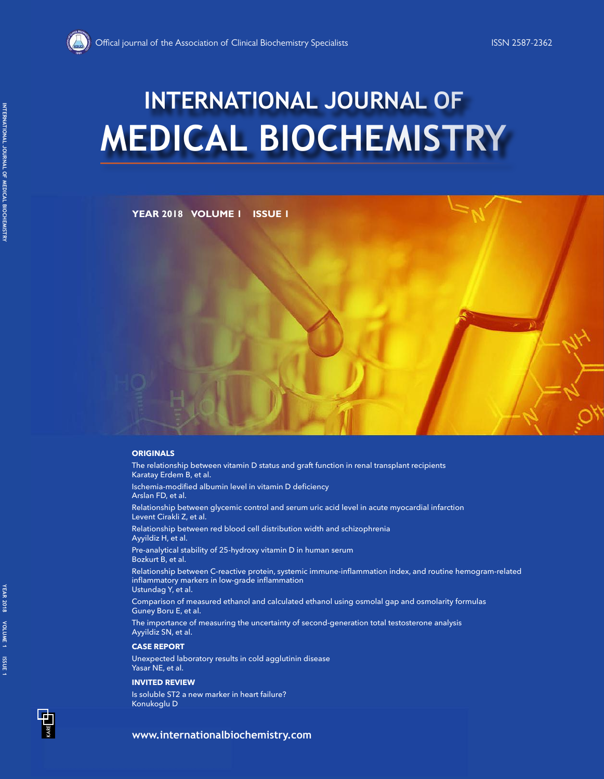

# **MEDICAL BIOCHEMISTRY INTERNATIONAL JOURNAL OF**

# **YEAR 2018 VOLUME 1 ISSUE 1**

#### **ORIGINALS**

The relationship between vitamin D status and graft function in renal transplant recipients Karatay Erdem B, et al.

Ischemia-modified albumin level in vitamin D deficiency Arslan FD, et al.

Relationship between glycemic control and serum uric acid level in acute myocardial infarction Levent Cirakli Z, et al.

Relationship between red blood cell distribution width and schizophrenia Ayyildiz H, et al.

Pre-analytical stability of 25-hydroxy vitamin D in human serum Bozkurt B, et al.

Relationship between C-reactive protein, systemic immune-inflammation index, and routine hemogram-related inflammatory markers in low-grade inflammation Ustundag Y, et al.

Comparison of measured ethanol and calculated ethanol using osmolal gap and osmolarity formulas Guney Boru E, et al.

The importance of measuring the uncertainty of second-generation total testosterone analysis Ayyildiz SN, et al.

#### **CASE REPORT**

Unexpected laboratory results in cold agglutinin disease Yasar NE, et al.

#### **INVITED REVIEW**

Is soluble ST2 a new marker in heart failure? Konukoglu D

**INTERNATIONAL JOURNAL OF MEDICAL BIOCHEMISTRY**

INTERNATIONAL JOURNAL OF MEDICAL BIOCHEMISTRY

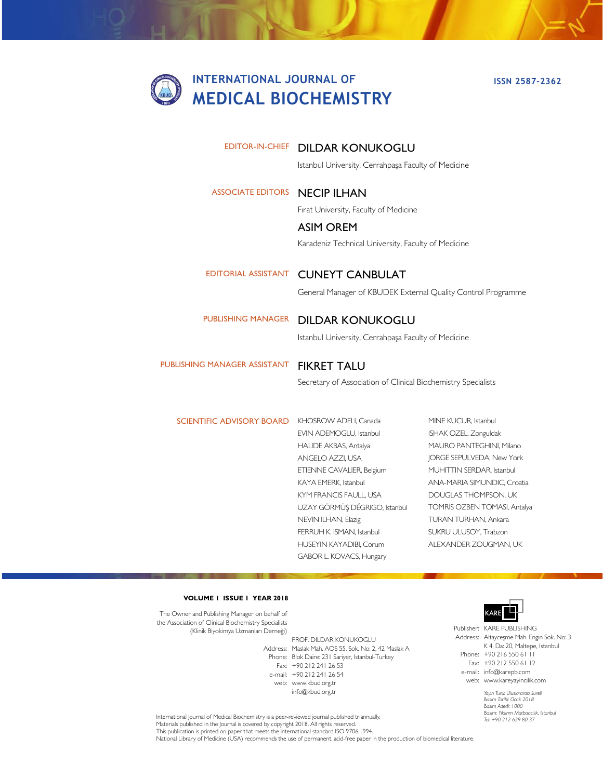# **INTERNATIONAL JOURNAL OF MEDICAL BIOCHEMISTRY**

## EDITOR-IN-CHIEF DILDAR KONUKOGLU

Istanbul University, Cerrahpaşa Faculty of Medicine

### ASSOCIATE EDITORS **NECIP ILHAN**

Fırat University, Faculty of Medicine

# ASIM OREM Karadeniz Technical University, Faculty of Medicine

EDITORIAL ASSISTANT CUNEYT CANBULAT

General Manager of KBUDEK External Quality Control Programme

#### PUBLISHING MANAGER DILDAR KONUKOGLU

Istanbul University, Cerrahpaşa Faculty of Medicine

PUBLISHING MANAGER ASSISTANT FIKRET TALU

Secretary of Association of Clinical Biochemistry Specialists

SCIENTIFIC ADVISORY BOARD KHOSROW ADELI, Canada

- EVIN ADEMOGLU, Istanbul HALIDE AKBAS, Antalya ANGELO AZZI, USA ETIENNE CAVALIER, Belgium KAYA EMERK, Istanbul KYM FRANCIS FAULL, USA UZAY GÖRMÜŞ DÉGRIGO, Istanbul NEVIN ILHAN, Elazig FERRUH K. ISMAN, Istanbul HUSEYIN KAYADIBI, Corum GABOR L. KOVACS, Hungary
- MINE KUCUR, Istanbul ISHAK OZEL, Zonguldak MAURO PANTEGHINI, Milano JORGE SEPULVEDA, New York MUHITTIN SERDAR, Istanbul ANA-MARIA SIMUNDIC, Croatia DOUGLAS THOMPSON, UK TOMRIS OZBEN TOMASI, Antalya TURAN TURHAN, Ankara SUKRU ULUSOY, Trabzon ALEXANDER ZOUGMAN, UK

#### **VOLUME 1 ISSUE 1 YEAR 2018**

The Owner and Publishing Manager on behalf of the Association of Clinical Biochemistry Specialists (Klinik Biyokimya Uzmanları Derneği)

Address: Maslak Mah. AOS 55. Sok. No: 2, 42 Maslak A Phone: Blok Daire: 231 Sariyer, Istanbul-Turkey Fax: +90 212 241 26 53 e-mail: +90 212 241 26 54 web: www.kbud.org.tr PROF. DILDAR KONUKOGLU info@kbud.org.tr



Publisher: KARE PUBLISHING Address: Altayceşme Mah. Engin Sok. No: 3 Phone: +90 216 550 61 11 Fax: +90 212 550 61 12 e-mail: info@karepb.com K 4, Da: 20, Maltepe, Istanbul

> *Yayın Turu: Uluslararası Sureli Basım Tarihi: Ocak 2018 Basım Adedi: 1000 Basım: Yıldırım Matbaacılık, Istanbul Tel: +90 212 629 80 37* web: www.kareyayincilik.com

International Journal of Medical Biochemistry is a peer-reviewed journal published triannually. Materials published in the Journal is covered by copyright 2018. All rights reserved. This publication is printed on paper that meets the international standard ISO 9706:1994. National Library of Medicine (USA) recommends the use of permanent, acid-free paper in the production of biomedical literature.